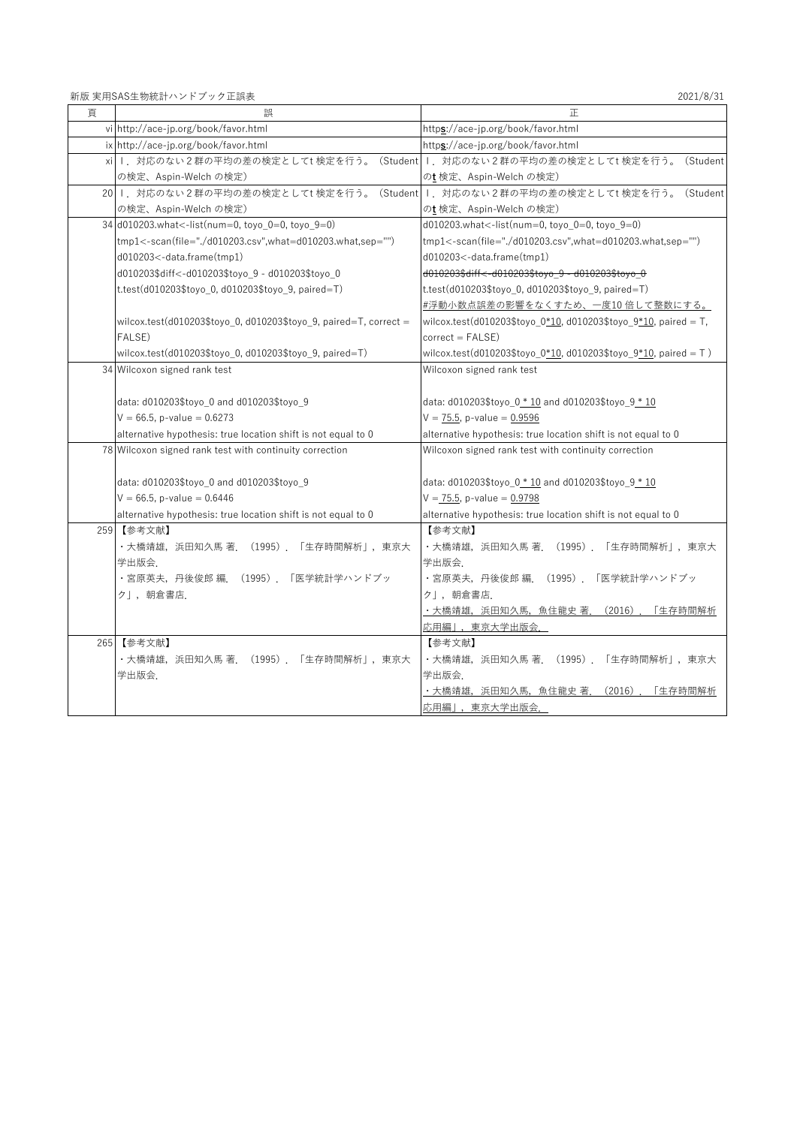新版 実用SAS生物統計ハンドブック正誤表 2021/8/31

| 頁 | 誤                                                                             | 正                                                                  |
|---|-------------------------------------------------------------------------------|--------------------------------------------------------------------|
|   | vi http://ace-jp.org/book/favor.html                                          | https://ace-jp.org/book/favor.html                                 |
|   | ix http://ace-jp.org/book/favor.html                                          | https://ace-jp.org/book/favor.html                                 |
|   | xi I.対応のない2群の平均の差の検定としてt検定を行う。(Student I.対応のない2群の平均の差の検定としてt検定を行う。            | (Student                                                           |
|   | の検定、Aspin-Welch の検定)                                                          | のt 検定、Aspin-Welch の検定)                                             |
|   | 20   対応のない2群の平均の差の検定としてt検定を行う。(Student    . 対応のない2群の平均の差の検定としてt検定を行う。(Student |                                                                    |
|   | の検定、Aspin-Welch の検定)                                                          | のt 検定、Aspin-Welch の検定)                                             |
|   | 34 d010203.what<-list(num=0, toyo_0=0, toyo_9=0)                              | d010203.what<-list(num=0, toyo_0=0, toyo_9=0)                      |
|   | tmp1<-scan(file="./d010203.csv",what=d010203.what,sep="")                     | tmp1<-scan(file="./d010203.csv",what=d010203.what,sep="")          |
|   | d010203<-data.frame(tmp1)                                                     | $d010203$ < - data.frame $(tmp1)$                                  |
|   | d010203\$diff<-d010203\$toyo_9 - d010203\$toyo_0                              | d010203\$diff<-d010203\$toyo_9 - d010203\$toyo_0                   |
|   | t.test(d010203\$toyo 0, d010203\$toyo 9, paired=T)                            | t.test(d010203\$toyo 0, d010203\$toyo 9, paired=T)                 |
|   |                                                                               | #浮動小数点誤差の影響をなくすため、一度10倍して整数にする。                                    |
|   | wilcox.test(d010203\$toyo_0, d010203\$toyo_9, paired=T, correct =             | wilcox.test(d010203\$toyo_0*10, d010203\$toyo_9*10, paired = T,    |
|   | FALSE)                                                                        | $correct = FALSE)$                                                 |
|   | wilcox.test(d010203\$toyo_0, d010203\$toyo_9, paired=T)                       | wilcox.test(d010203\$toyo_0*10, d010203\$toyo_9*10, paired = $T$ ) |
|   | 34 Wilcoxon signed rank test                                                  | Wilcoxon signed rank test                                          |
|   |                                                                               |                                                                    |
|   | data: d010203\$toyo_0 and d010203\$toyo_9                                     | data: $d010203$ \$toyo_0 $*$ 10 and $d010203$ \$toyo_9 $*$ 10      |
|   | $V = 66.5$ , p-value = 0.6273                                                 | $V = 75.5$ , p-value = 0.9596                                      |
|   | alternative hypothesis: true location shift is not equal to 0                 | alternative hypothesis: true location shift is not equal to 0      |
|   | 78 Wilcoxon signed rank test with continuity correction                       | Wilcoxon signed rank test with continuity correction               |
|   |                                                                               |                                                                    |
|   | data: d010203\$toyo 0 and d010203\$toyo 9                                     | data: $d010203$ \$toyo 0 $*$ 10 and $d010203$ \$toyo 9 $*$ 10      |
|   | $V = 66.5$ , p-value = 0.6446                                                 | $V = 75.5$ , p-value = 0.9798                                      |
|   | alternative hypothesis: true location shift is not equal to 0                 | alternative hypothesis: true location shift is not equal to 0      |
|   | 259 【参考文献】                                                                    | 【参考文献】                                                             |
|   | ・大橋靖雄,浜田知久馬 著. (1995). 「生存時間解析」, 東京大                                          | ・大橋靖雄,浜田知久馬 著.(1995).「生存時間解析」,東京大                                  |
|   | 学出版会.                                                                         | 学出版会.                                                              |
|   | ・宮原英夫,丹後俊郎 編.(1995).「医学統計学ハンドブッ                                               | ・宮原英夫,丹後俊郎 編.(1995).「医学統計学ハンドブッ                                    |
|   | ク」, 朝倉書店.                                                                     | クー, 朝倉書店.                                                          |
|   |                                                                               | ・大橋靖雄,浜田知久馬,魚住龍史 著.(2016).<br>「生存時間解析                              |
|   |                                                                               | 応用編」,東京大学出版会.                                                      |
|   | 265 【参考文献】                                                                    | 【参考文献】                                                             |
|   | ・大橋靖雄,浜田知久馬 著.(1995).「生存時間解析」,東京大                                             | ・大橋靖雄,浜田知久馬 著.(1995).「生存時間解析」,東京大                                  |
|   | 学出版会                                                                          | 学出版会.                                                              |
|   |                                                                               | ・大橋靖雄,浜田知久馬,魚住龍史 著.(2016).「生存時間解析                                  |
|   |                                                                               | 応用編」,東京大学出版会.                                                      |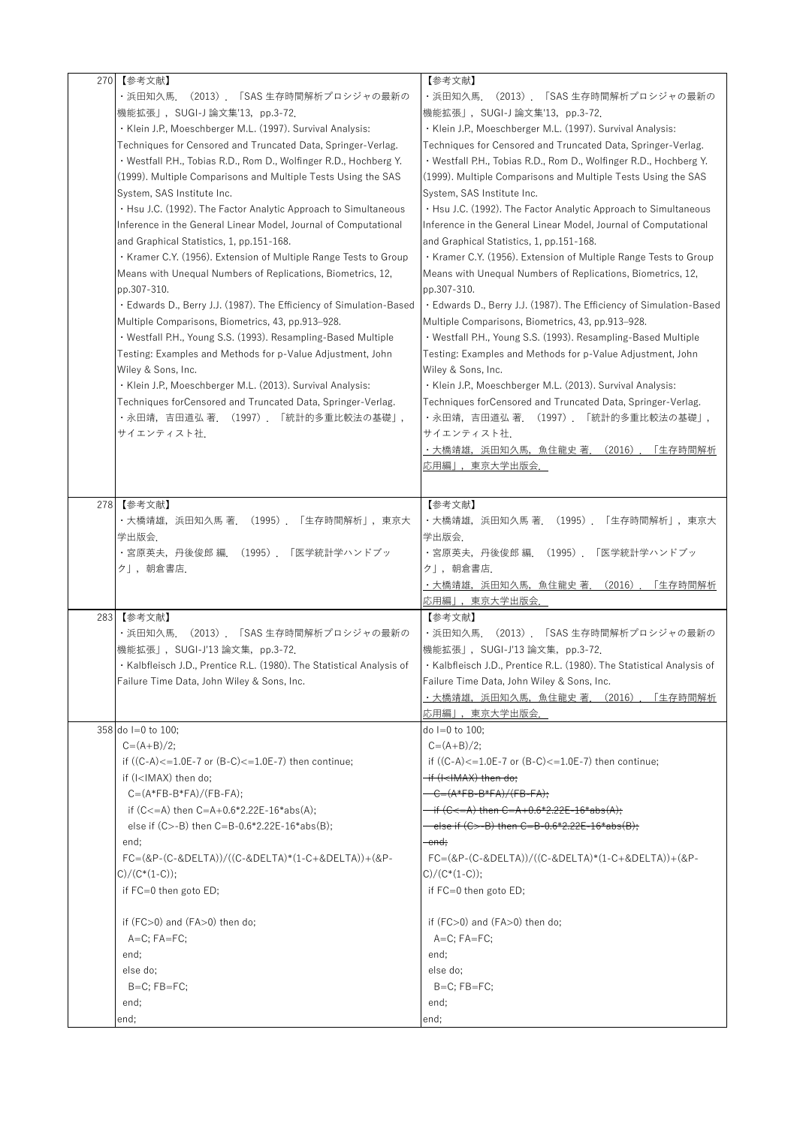| 270 | 【参考文献】                                                                                                     | 【参考文献】                                                                      |
|-----|------------------------------------------------------------------------------------------------------------|-----------------------------------------------------------------------------|
|     | ・浜田知久馬.<br>(2013).「SAS 生存時間解析プロシジャの最新の                                                                     | ・浜田知久馬<br>(2013). ISAS 生存時間解析ブロシジャの最新の                                      |
|     | 機能拡張」, SUGI-J 論文集'13, pp.3-72.                                                                             | 機能拡張」,SUGI-J 論文集'13,pp.3-72.                                                |
|     | · Klein J.P., Moeschberger M.L. (1997). Survival Analysis:                                                 | · Klein J.P., Moeschberger M.L. (1997). Survival Analysis:                  |
|     | Techniques for Censored and Truncated Data, Springer-Verlag.                                               | Techniques for Censored and Truncated Data, Springer-Verlag.                |
|     | · Westfall P.H., Tobias R.D., Rom D., Wolfinger R.D., Hochberg Y.                                          | · Westfall P.H., Tobias R.D., Rom D., Wolfinger R.D., Hochberg Y.           |
|     |                                                                                                            |                                                                             |
|     | (1999). Multiple Comparisons and Multiple Tests Using the SAS                                              | (1999). Multiple Comparisons and Multiple Tests Using the SAS               |
|     | System, SAS Institute Inc.                                                                                 | System, SAS Institute Inc.                                                  |
|     | . Hsu J.C. (1992). The Factor Analytic Approach to Simultaneous                                            | . Hsu J.C. (1992). The Factor Analytic Approach to Simultaneous             |
|     | Inference in the General Linear Model, Journal of Computational                                            | Inference in the General Linear Model, Journal of Computational             |
|     | and Graphical Statistics, 1, pp.151-168.                                                                   | and Graphical Statistics, 1, pp.151-168.                                    |
|     | • Kramer C.Y. (1956). Extension of Multiple Range Tests to Group                                           | • Kramer C.Y. (1956). Extension of Multiple Range Tests to Group            |
|     | Means with Unequal Numbers of Replications, Biometrics, 12,                                                | Means with Unequal Numbers of Replications, Biometrics, 12,                 |
|     | pp.307-310.                                                                                                | pp.307-310.                                                                 |
|     | . Edwards D., Berry J.J. (1987). The Efficiency of Simulation-Based                                        | • Edwards D., Berry J.J. (1987). The Efficiency of Simulation-Based         |
|     | Multiple Comparisons, Biometrics, 43, pp.913-928.                                                          | Multiple Comparisons, Biometrics, 43, pp.913-928.                           |
|     | · Westfall P.H., Young S.S. (1993). Resampling-Based Multiple                                              | • Westfall P.H., Young S.S. (1993). Resampling-Based Multiple               |
|     | Testing: Examples and Methods for p-Value Adjustment, John                                                 | Testing: Examples and Methods for p-Value Adjustment, John                  |
|     | Wiley & Sons, Inc.                                                                                         | Wiley & Sons, Inc.                                                          |
|     | · Klein J.P., Moeschberger M.L. (2013). Survival Analysis:                                                 | · Klein J.P., Moeschberger M.L. (2013). Survival Analysis:                  |
|     | Techniques forCensored and Truncated Data, Springer-Verlag.                                                | Techniques forCensored and Truncated Data, Springer-Verlag.                 |
|     |                                                                                                            |                                                                             |
|     | ・永田靖,吉田道弘 著.(1997).「統計的多重比較法の基礎」,                                                                          | ・永田靖,吉田道弘 著.(1997).「統計的多重比較法の基礎」,                                           |
|     | サイエンティスト社.                                                                                                 | サイエンティスト社.                                                                  |
|     |                                                                                                            | ・大橋靖雄,浜田知久馬,魚住龍史 著.<br>(2016)<br>「生存時間解析                                    |
|     |                                                                                                            | 応用編」,東京大学出版会.                                                               |
|     |                                                                                                            |                                                                             |
| 278 | 【参考文献】                                                                                                     | 【参考文献】                                                                      |
|     | ・大橋靖雄,浜田知久馬 著.(1995).「生存時間解析」,東京大                                                                          | ・大橋靖雄,浜田知久馬 著.(1995).「生存時間解析」,東京大                                           |
|     | 学出版会.                                                                                                      | 学出版会.                                                                       |
|     | ・宮原英夫, 丹後俊郎 編. (1995). 「医学統計学ハンドブッ                                                                         | ・宮原英夫,丹後俊郎 編.(1995).「医学統計学ハンドブッ                                             |
|     | ク」,朝倉書店.                                                                                                   | ク」,朝倉書店.                                                                    |
|     |                                                                                                            | ・大橋靖雄,浜田知久馬,魚住龍史 著.(2016)<br>「生存時間解析                                        |
|     |                                                                                                            | 応用編」,東京大学出版会.                                                               |
| 283 | 【参考文献】                                                                                                     | 【参考文献】                                                                      |
|     | ・浜田知久馬.(2013).「SAS 生存時間解析プロシジャの最新の                                                                         | ・浜田知久馬.(2013).「SAS 生存時間解析プロシジャの最新の                                          |
|     | 機能拡張」, SUGI-J'13 論文集, pp.3-72.                                                                             | 機能拡張」, SUGI-J'13 論文集, pp.3-72.                                              |
|     | • Kalbfleisch J.D., Prentice R.L. (1980). The Statistical Analysis of                                      | • Kalbfleisch J.D., Prentice R.L. (1980). The Statistical Analysis of       |
|     | Failure Time Data, John Wiley & Sons, Inc.                                                                 | Failure Time Data, John Wiley & Sons, Inc.                                  |
|     |                                                                                                            | ・大橋靖雄,浜田知久馬,魚住龍史 著.(2016)<br>「生存時間解析                                        |
|     |                                                                                                            | <u>応用編」,東京大学出版会.</u>                                                        |
|     | 358 do I=0 to 100;                                                                                         | do I=0 to 100;                                                              |
|     | $C = (A+B)/2;$                                                                                             | $C = (A+B)/2$ ;                                                             |
|     | if $((C-A)\lt=1.0E-7$ or $(B-C)\lt=1.0E-7$ ) then continue;                                                |                                                                             |
|     |                                                                                                            | if $((C-A)\lt=1.0E-7$ or $(B-C)\lt=1.0E-7$ ) then continue;                 |
|     | if (I <imax) do;<="" th="" then=""><th><del>if (I<imax) del="" do;<="" then=""></imax)></del></th></imax)> | <del>if (I<imax) del="" do;<="" then=""></imax)></del>                      |
|     | $C = (A*FB-B*FA)/(FB-FA)$ ;                                                                                | $C = (A*FB-B*FA)/(FB-FA);$                                                  |
|     | if (C<=A) then C=A+0.6*2.22E-16*abs(A);                                                                    | <del>if (C&lt;=A) then C=A+0.6*2.22E-16*abs(A);</del>                       |
|     | else if $(C > -B)$ then $C = B - 0.6 * 2.22E - 16 * abs(B);$                                               | else if (C>-B) then C=B-0.6*2.22E-16*abs(B);                                |
|     | end;                                                                                                       | end:                                                                        |
|     | $FC = (QP - (C - QDELTA))/( (C - QDELTA)*(1 - C + QDELTA)) + (QP - QDELTA)$                                | $FC = (QP - (C - QDELTA))/( (C - QDELTA)*(1 - C + QDELTA)) + (QP - QDELTA)$ |
|     | $C)/(C*(1-C));$                                                                                            | $C)/(C*(1-C));$                                                             |
|     | if FC=0 then goto ED;                                                                                      | if FC=0 then goto ED;                                                       |
|     |                                                                                                            |                                                                             |
|     | if (FC>0) and (FA>0) then do;                                                                              | if (FC>0) and (FA>0) then do;                                               |
|     | $A=C$ ; $FA=FC$ ;                                                                                          | $A=C$ ; $FA=FC$ ;                                                           |
|     | end;                                                                                                       | end:                                                                        |
|     | else do;                                                                                                   | else do;                                                                    |
|     | $B=C$ ; $FB=FC$ ;                                                                                          | $B=C$ ; $FB=FC$ ;                                                           |
|     | end;                                                                                                       | end;                                                                        |
|     | end;                                                                                                       | end;                                                                        |
|     |                                                                                                            |                                                                             |